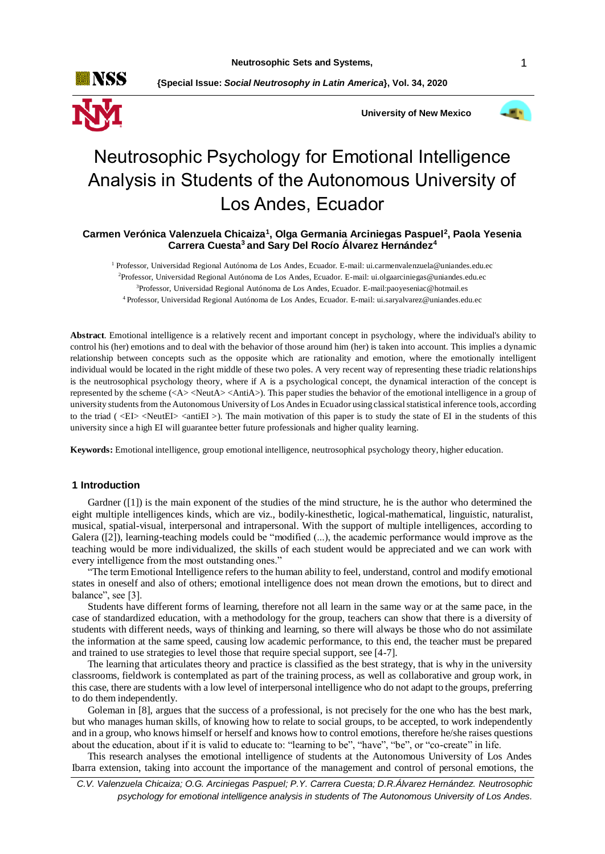

**{Special Issue:** *Social Neutrosophy in Latin America***}, Vol. 34, 2020**





# Neutrosophic Psychology for Emotional Intelligence Analysis in Students of the Autonomous University of Los Andes, Ecuador

## **Carmen Verónica Valenzuela Chicaiza<sup>1</sup> , Olga Germania Arciniegas Paspuel<sup>2</sup> , Paola Yesenia Carrera Cuesta<sup>3</sup>and Sary Del Rocío Álvarez Hernández<sup>4</sup>**

<sup>1</sup> Professor, Universidad Regional Autónoma de Los Andes, Ecuador. E-mail: ui.carmenvalenzuela@uniandes.edu.ec <sup>2</sup>Professor, Universidad Regional Autónoma de Los Andes, Ecuador. E-mail: ui.olgaarciniegas@uniandes.edu.ec <sup>3</sup>Professor, Universidad Regional Autónoma de Los Andes, Ecuador. E-mail[:paoyeseniac@hotmail.es](mailto:paoyeseniac@hotmail.es)

<sup>4</sup>Professor, Universidad Regional Autónoma de Los Andes, Ecuador. E-mail: ui.saryalvarez@uniandes.edu.ec

**Abstract**. Emotional intelligence is a relatively recent and important concept in psychology, where the individual's ability to control his (her) emotions and to deal with the behavior of those around him (her) is taken into account. This implies a dynamic relationship between concepts such as the opposite which are rationality and emotion, where the emotionally intelligent individual would be located in the right middle of these two poles. A very recent way of representing these triadic relationships is the neutrosophical psychology theory, where if A is a psychological concept, the dynamical interaction of the concept is represented by the scheme (<A> <NeutA> <AntiA>). This paper studies the behavior of the emotional intelligence in a group of university students from the Autonomous University of Los Andes in Ecuador using classical statistical inference tools, according to the triad ( $\langle E|$ >  $\langle$ NeutEI> $\langle$  antiEI >). The main motivation of this paper is to study the state of EI in the students of this university since a high EI will guarantee better future professionals and higher quality learning.

**Keywords:** Emotional intelligence, group emotional intelligence, neutrosophical psychology theory, higher education.

## **1 Introduction**

Gardner ([1]) is the main exponent of the studies of the mind structure, he is the author who determined the eight multiple intelligences kinds, which are viz., bodily-kinesthetic, logical-mathematical, linguistic, naturalist, musical, spatial-visual, interpersonal and intrapersonal. With the support of multiple intelligences, according to Galera ([2]), learning-teaching models could be "modified (...), the academic performance would improve as the teaching would be more individualized, the skills of each student would be appreciated and we can work with every intelligence from the most outstanding ones."

"The term Emotional Intelligence refers to the human ability to feel, understand, control and modify emotional states in oneself and also of others; emotional intelligence does not mean drown the emotions, but to direct and balance", see [3].

Students have different forms of learning, therefore not all learn in the same way or at the same pace, in the case of standardized education, with a methodology for the group, teachers can show that there is a diversity of students with different needs, ways of thinking and learning, so there will always be those who do not assimilate the information at the same speed, causing low academic performance, to this end, the teacher must be prepared and trained to use strategies to level those that require special support, see [4-7].

The learning that articulates theory and practice is classified as the best strategy, that is why in the university classrooms, fieldwork is contemplated as part of the training process, as well as collaborative and group work, in this case, there are students with a low level of interpersonal intelligence who do not adapt to the groups, preferring to do them independently.

Goleman in [8], argues that the success of a professional, is not precisely for the one who has the best mark, but who manages human skills, of knowing how to relate to social groups, to be accepted, to work independently and in a group, who knows himself or herself and knows how to control emotions, therefore he/she raises questions about the education, about if it is valid to educate to: "learning to be", "have", "be", or "co-create" in life.

This research analyses the emotional intelligence of students at the Autonomous University of Los Andes Ibarra extension, taking into account the importance of the management and control of personal emotions, the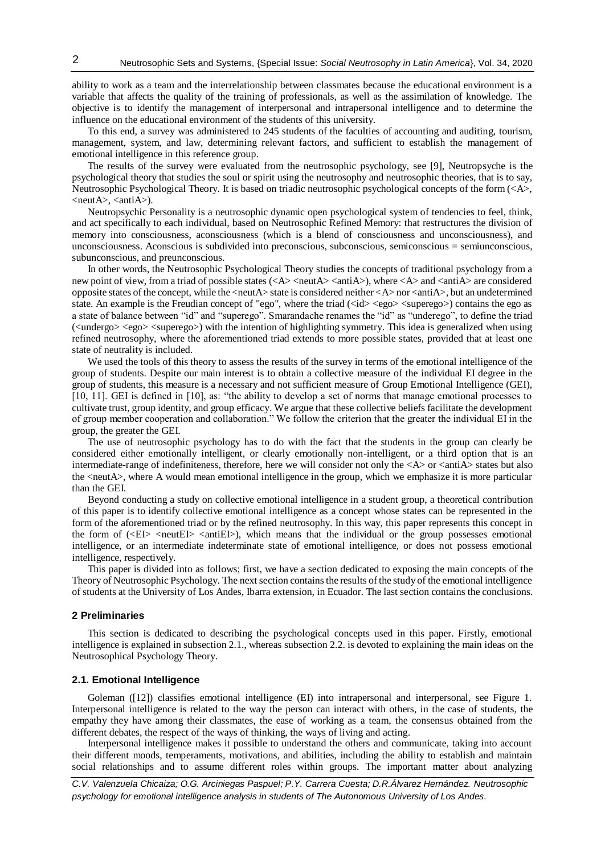ability to work as a team and the interrelationship between classmates because the educational environment is a variable that affects the quality of the training of professionals, as well as the assimilation of knowledge. The objective is to identify the management of interpersonal and intrapersonal intelligence and to determine the influence on the educational environment of the students of this university.

To this end, a survey was administered to 245 students of the faculties of accounting and auditing, tourism, management, system, and law, determining relevant factors, and sufficient to establish the management of emotional intelligence in this reference group.

The results of the survey were evaluated from the neutrosophic psychology, see [9], Neutropsyche is the psychological theory that studies the soul or spirit using the neutrosophy and neutrosophic theories, that is to say, Neutrosophic Psychological Theory. It is based on triadic neutrosophic psychological concepts of the form (<A>,  $\langle \text{neut} \mathbf{A} \rangle$ ,  $\langle \text{anti} \mathbf{A} \rangle$ ).

Neutropsychic Personality is a neutrosophic dynamic open psychological system of tendencies to feel, think, and act specifically to each individual, based on Neutrosophic Refined Memory: that restructures the division of memory into consciousness, aconsciousness (which is a blend of consciousness and unconsciousness), and unconsciousness. Aconscious is subdivided into preconscious, subconscious, semiconscious = semiunconscious, subunconscious, and preunconscious.

In other words, the Neutrosophic Psychological Theory studies the concepts of traditional psychology from a new point of view, from a triad of possible states (<A> <neutA> <antiA>), where <A> and <antiA> are considered opposite states of the concept, while the <neutA> state is considered neither <A> nor <antiA>, but an undetermined state. An example is the Freudian concept of "ego", where the triad ( $\langle$ id>  $\langle$ ego>  $\langle$ superego>) contains the ego as a state of balance between "id" and "superego". Smarandache renames the "id" as "underego", to define the triad (<undergo> <ego> <superego>) with the intention of highlighting symmetry. This idea is generalized when using refined neutrosophy, where the aforementioned triad extends to more possible states, provided that at least one state of neutrality is included.

We used the tools of this theory to assess the results of the survey in terms of the emotional intelligence of the group of students. Despite our main interest is to obtain a collective measure of the individual EI degree in the group of students, this measure is a necessary and not sufficient measure of Group Emotional Intelligence (GEI), [10, 11]. GEI is defined in [10], as: "the ability to develop a set of norms that manage emotional processes to cultivate trust, group identity, and group efficacy. We argue that these collective beliefs facilitate the development of group member cooperation and collaboration." We follow the criterion that the greater the individual EI in the group, the greater the GEI.

The use of neutrosophic psychology has to do with the fact that the students in the group can clearly be considered either emotionally intelligent, or clearly emotionally non-intelligent, or a third option that is an intermediate-range of indefiniteness, therefore, here we will consider not only the  $\langle A \rangle$  or  $\langle$  anti $\hat{A} \rangle$  states but also the <neutA>, where A would mean emotional intelligence in the group, which we emphasize it is more particular than the GEI.

Beyond conducting a study on collective emotional intelligence in a student group, a theoretical contribution of this paper is to identify collective emotional intelligence as a concept whose states can be represented in the form of the aforementioned triad or by the refined neutrosophy. In this way, this paper represents this concept in the form of  $\langle\angle E\rangle$   $\langle\angle$ neutEI $\rangle$   $\langle\angle$ antiEI $\rangle$ ), which means that the individual or the group possesses emotional intelligence, or an intermediate indeterminate state of emotional intelligence, or does not possess emotional intelligence, respectively.

This paper is divided into as follows; first, we have a section dedicated to exposing the main concepts of the Theory of Neutrosophic Psychology. The next section contains the results of the study of the emotional intelligence of students at the University of Los Andes, Ibarra extension, in Ecuador. The last section contains the conclusions.

## **2 Preliminaries**

This section is dedicated to describing the psychological concepts used in this paper. Firstly, emotional intelligence is explained in subsection 2.1., whereas subsection 2.2. is devoted to explaining the main ideas on the Neutrosophical Psychology Theory.

#### **2.1. Emotional Intelligence**

Goleman ([12]) classifies emotional intelligence (EI) into intrapersonal and interpersonal, see Figure 1. Interpersonal intelligence is related to the way the person can interact with others, in the case of students, the empathy they have among their classmates, the ease of working as a team, the consensus obtained from the different debates, the respect of the ways of thinking, the ways of living and acting.

Interpersonal intelligence makes it possible to understand the others and communicate, taking into account their different moods, temperaments, motivations, and abilities, including the ability to establish and maintain social relationships and to assume different roles within groups. The important matter about analyzing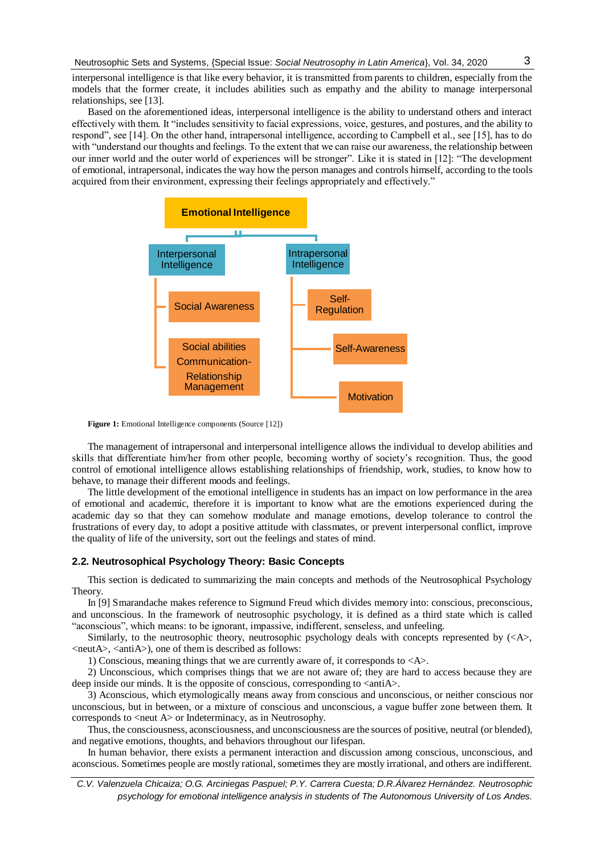interpersonal intelligence is that like every behavior, it is transmitted from parents to children, especially from the models that the former create, it includes abilities such as empathy and the ability to manage interpersonal relationships, see [13].

Based on the aforementioned ideas, interpersonal intelligence is the ability to understand others and interact effectively with them. It "includes sensitivity to facial expressions, voice, gestures, and postures, and the ability to respond", see [14]. On the other hand, intrapersonal intelligence, according to Campbell et al., see [15], has to do with "understand our thoughts and feelings. To the extent that we can raise our awareness, the relationship between our inner world and the outer world of experiences will be stronger". Like it is stated in [12]: "The development of emotional, intrapersonal, indicates the way how the person manages and controls himself, according to the tools acquired from their environment, expressing their feelings appropriately and effectively."



**Figure 1:** Emotional Intelligence components (Source [12])

The management of intrapersonal and interpersonal intelligence allows the individual to develop abilities and skills that differentiate him/her from other people, becoming worthy of society's recognition. Thus, the good control of emotional intelligence allows establishing relationships of friendship, work, studies, to know how to behave, to manage their different moods and feelings.

The little development of the emotional intelligence in students has an impact on low performance in the area of emotional and academic, therefore it is important to know what are the emotions experienced during the academic day so that they can somehow modulate and manage emotions, develop tolerance to control the frustrations of every day, to adopt a positive attitude with classmates, or prevent interpersonal conflict, improve the quality of life of the university, sort out the feelings and states of mind.

### **2.2. Neutrosophical Psychology Theory: Basic Concepts**

This section is dedicated to summarizing the main concepts and methods of the Neutrosophical Psychology Theory.

In [9] Smarandache makes reference to Sigmund Freud which divides memory into: conscious, preconscious, and unconscious. In the framework of neutrosophic psychology, it is defined as a third state which is called "aconscious", which means: to be ignorant, impassive, indifferent, senseless, and unfeeling.

Similarly, to the neutrosophic theory, neutrosophic psychology deals with concepts represented by  $(\langle A \rangle)$ , <neutA>, <antiA>), one of them is described as follows:

1) Conscious, meaning things that we are currently aware of, it corresponds to <A>.

2) Unconscious, which comprises things that we are not aware of; they are hard to access because they are deep inside our minds. It is the opposite of conscious, corresponding to  $\langle \text{antiAs} \rangle$ .

3) Aconscious, which etymologically means away from conscious and unconscious, or neither conscious nor unconscious, but in between, or a mixture of conscious and unconscious, a vague buffer zone between them. It corresponds to <neut A> or Indeterminacy, as in Neutrosophy.

Thus, the consciousness, aconsciousness, and unconsciousness are the sources of positive, neutral (or blended), and negative emotions, thoughts, and behaviors throughout our lifespan.

In human behavior, there exists a permanent interaction and discussion among conscious, unconscious, and aconscious. Sometimes people are mostly rational, sometimes they are mostly irrational, and others are indifferent.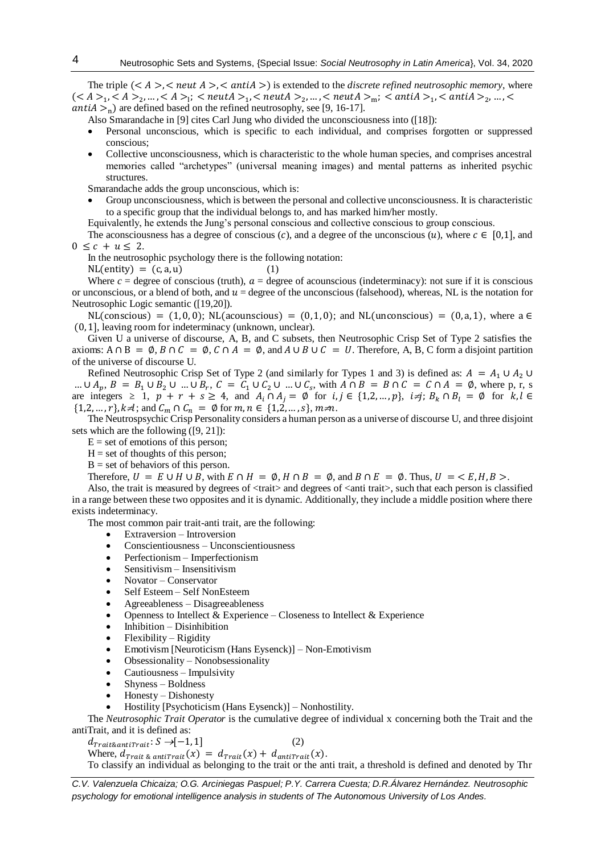The triple  $(< A > <$  neut  $A > <$  anti $A >$ ) is extended to the *discrete refined neutrosophic memory*, where  $(<\!A>_1, <\!A>_2, ..., <\!A>_1, < \mathit{neutA}>_1, < \mathit{neutA}>_2, ..., < \mathit{neutA}>_\mathrm{m}; < \mathit{antid}>_1, < \mathit{antA}>_2, ..., <$ *antiA*  $>$ <sub>n</sub>) are defined based on the refined neutrosophy, see [9, 16-17].

Also Smarandache in [9] cites Carl Jung who divided the unconsciousness into ([18]):

- Personal unconscious, which is specific to each individual, and comprises forgotten or suppressed conscious;
- Collective unconsciousness, which is characteristic to the whole human species, and comprises ancestral memories called "archetypes" (universal meaning images) and mental patterns as inherited psychic structures.

Smarandache adds the group unconscious, which is:

 Group unconsciousness, which is between the personal and collective unconsciousness. It is characteristic to a specific group that the individual belongs to, and has marked him/her mostly.

Equivalently, he extends the Jung's personal conscious and collective conscious to group conscious.

The aconsciousness has a degree of conscious (c), and a degree of the unconscious (u), where  $c \in [0,1]$ , and  $0 \leq c + u \leq 2$ .

In the neutrosophic psychology there is the following notation:

 $NL($ entity $) = (c, a, u)$  (1)

Where  $c =$  degree of conscious (truth),  $a =$  degree of acounscious (indeterminacy): not sure if it is conscious or unconscious, or a blend of both, and  $u =$  degree of the unconscious (falsehood), whereas, NL is the notation for Neutrosophic Logic semantic ([19,20]).

 $NL$ (conscious) = (1,0,0);  $NL$ (acounscious) = (0,1,0); and  $NL$ (unconscious) = (0,a,1), where a  $\in$ (0,1], leaving room for indeterminacy (unknown, unclear).

Given U a universe of discourse, A, B, and C subsets, then Neutrosophic Crisp Set of Type 2 satisfies the axioms:  $A \cap B = \emptyset$ ,  $B \cap C = \emptyset$ ,  $C \cap A = \emptyset$ , and  $A \cup B \cup C = U$ . Therefore, A, B, C form a disjoint partition of the universe of discourse U.

Refined Neutrosophic Crisp Set of Type 2 (and similarly for Types 1 and 3) is defined as:  $A = A_1 \cup A_2 \cup A_3$ ...  $\cup A_p$ ,  $B = B_1 \cup B_2 \cup ... \cup B_r$ ,  $C = C_1 \cup C_2 \cup ... \cup C_s$ , with  $A \cap B = B \cap C = C \cap A = \emptyset$ , where p, r, s are integers  $\geq 1$ ,  $p + r + s \geq 4$ , and  $A_i \cap A_j = \emptyset$  for  $i, j \in \{1, 2, ..., p\}$ ,  $i \neq j$ ;  $B_k \cap B_l = \emptyset$  for  $k, l \in \{1, 2, ..., p\}$  $\{1, 2, ..., r\}, k \neq 1; \text{ and } C_m \cap C_n = \emptyset \text{ for } m, n \in \{1, 2, ..., s\}, m \neq n.$ 

The Neutrospsychic Crisp Personality considers a human person as a universe of discourse U, and three disjoint sets which are the following ([9, 21]):

 $E = set of$  emotions of this person;

 $H = set of thought of this person;$ 

 $B = set of behaviors of this person.$ 

Therefore,  $U = E \cup H \cup B$ , with  $E \cap H = \emptyset$ ,  $H \cap B = \emptyset$ , and  $B \cap E = \emptyset$ . Thus,  $U = \langle E, H, B \rangle$ .

Also, the trait is measured by degrees of  $\langle \text{train}\rangle$  and degrees of  $\langle \text{anti}\rangle$ , such that each person is classified in a range between these two opposites and it is dynamic. Additionally, they include a middle position where there exists indeterminacy.

The most common pair trait-anti trait, are the following:

- Extraversion Introversion
- Conscientiousness Unconscientiousness
- Perfectionism Imperfectionism
- Sensitivism Insensitivism
- Novator Conservator
- Self Esteem Self NonEsteem
- Agreeableness Disagreeableness
- Openness to Intellect  $\&$  Experience Closeness to Intellect  $\&$  Experience
- Inhibition Disinhibition
- Flexibility Rigidity
- Emotivism [Neuroticism (Hans Eysenck)] Non-Emotivism
- Obsessionality Nonobsessionality
- Cautiousness Impulsivity
- Shyness Boldness
- $\bullet$  Honesty Dishonesty
- Hostility [Psychoticism (Hans Eysenck)] Nonhostility.

The *Neutrosophic Trait Operator* is the cumulative degree of individual x concerning both the Trait and the antiTrait, and it is defined as:

 $d_{\text{Trait\&ant}(\text{Trait}:S \rightarrow [-1,1])}$  (2) Where,  $d_{\text{Trait } \& \text{ antitrait}}(x) = d_{\text{Trait}}(x) + d_{\text{antitrait}}(x)$ .

To classify an individual as belonging to the trait or the anti trait, a threshold is defined and denoted by Thr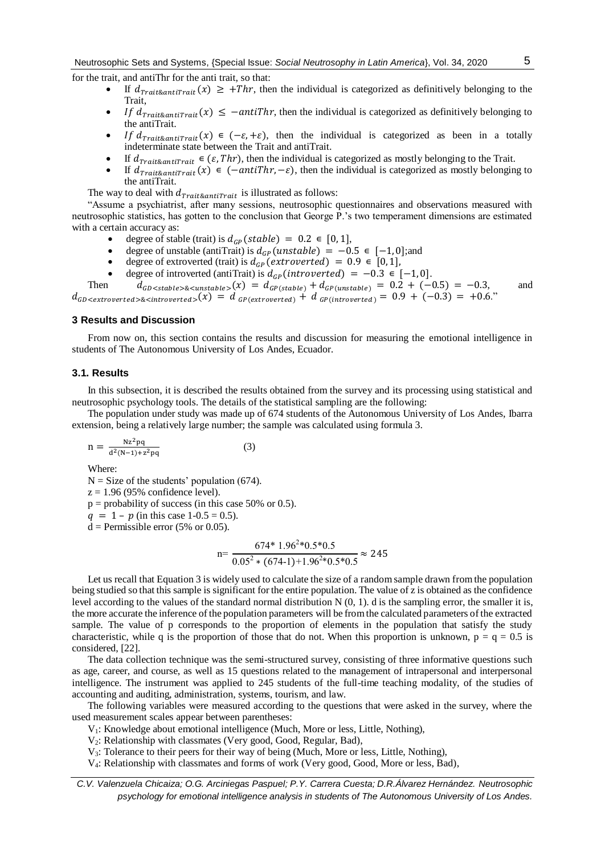for the trait, and antiThr for the anti trait, so that:

- If  $d_{\text{Trait\&antitrait}}(x) \geq +Thr$ , then the individual is categorized as definitively belonging to the Trait,
- $\bullet$  If  $d_{\text{Trait\&antifrait}}(x) \le -ant\$ Then the individual is categorized as definitively belonging to the antiTrait.
- If  $d_{\text{Trait\&antifrait}}(x) \in (-\varepsilon, +\varepsilon)$ , then the individual is categorized as been in a totally indeterminate state between the Trait and antiTrait.
- If  $d_{\text{Trait\&antitrait}} \in (\varepsilon, \text{Thr})$ , then the individual is categorized as mostly belonging to the Trait.
- If  $d_{\text{Trait\&ant}(\mathcal{X})} \in (-\text{antif} \, \text{Irr}, -\varepsilon)$ , then the individual is categorized as mostly belonging to the antiTrait.

The way to deal with  $d_{\text{Trait\&antifrait}}$  is illustrated as follows:

"Assume a psychiatrist, after many sessions, neutrosophic questionnaires and observations measured with neutrosophic statistics, has gotten to the conclusion that George P.'s two temperament dimensions are estimated with a certain accuracy as:

- degree of stable (trait) is  $d_{GP}(stable) = 0.2 \in [0, 1],$ <br>degree of unstable (antiTrait) is  $d_{CP}(unstable) = -0$
- degree of unstable (antiTrait) is  $d_{GP}(unstable) = -0.5 \in [-1, 0]$ ;and<br>
degree of extroverted (trait) is  $d_{CP}(extrup{overed}) = 0.9 \in [0, 1]$ .
- degree of extroverted (trait) is  $d_{GP}$  (extroverted) = 0.9  $\in [0,1]$ ,
- degree of introverted (antiTrait) is  $d_{GP}$  (introverted) = −0.3 ∈ [−1,0].<br>Then  $d_{CP}$  extends  $\epsilon$  constables (x) =  $d_{CP}$  (extends) +  $d_{CP}$  (extends) = 0.2 + (−0)

 $d_{GD < stable > \< unstable}$  =  $d_{GP (stable)} + d_{GP (unstable)} = 0.2 + (-0.5) = -0.3$ , and  $d_{GD \leq extroverted > \< introverted >}(x) = d_{GP(extroverted)} + d_{GP(introverted)} = 0.9 + (-0.3) = +0.6."$ 

#### **3 Results and Discussion**

From now on, this section contains the results and discussion for measuring the emotional intelligence in students of The Autonomous University of Los Andes, Ecuador.

## **3.1. Results**

In this subsection, it is described the results obtained from the survey and its processing using statistical and neutrosophic psychology tools. The details of the statistical sampling are the following:

The population under study was made up of 674 students of the Autonomous University of Los Andes, Ibarra extension, being a relatively large number; the sample was calculated using formula 3.

$$
n = \frac{Nz^2pq}{d^2(N-1)+z^2pq}
$$
 (3)

Where:

 $N = Size$  of the students' population (674).

 $z = 1.96$  (95% confidence level).

 $p =$  probability of success (in this case 50% or 0.5).

 $q = 1 - p$  (in this case 1-0.5 = 0.5).

 $d =$  Permissible error (5% or 0.05).

$$
n = \frac{674 * 1.96^{2} * 0.5 * 0.5}{0.05^{2} * (674 - 1) + 1.96^{2} * 0.5 * 0.5} \approx 245
$$

Let us recall that Equation 3 is widely used to calculate the size of a random sample drawn from the population being studied so that this sample is significant for the entire population. The value of z is obtained as the confidence level according to the values of the standard normal distribution  $N(0, 1)$ . d is the sampling error, the smaller it is, the more accurate the inference of the population parameters will be from the calculated parameters of the extracted sample. The value of p corresponds to the proportion of elements in the population that satisfy the study characteristic, while q is the proportion of those that do not. When this proportion is unknown,  $p = q = 0.5$  is considered, [22].

The data collection technique was the semi-structured survey, consisting of three informative questions such as age, career, and course, as well as 15 questions related to the management of intrapersonal and interpersonal intelligence. The instrument was applied to 245 students of the full-time teaching modality, of the studies of accounting and auditing, administration, systems, tourism, and law.

The following variables were measured according to the questions that were asked in the survey, where the used measurement scales appear between parentheses:

V1: Knowledge about emotional intelligence (Much, More or less, Little, Nothing),

V2: Relationship with classmates (Very good, Good, Regular, Bad),

V3: Tolerance to their peers for their way of being (Much, More or less, Little, Nothing),

V4: Relationship with classmates and forms of work (Very good, Good, More or less, Bad),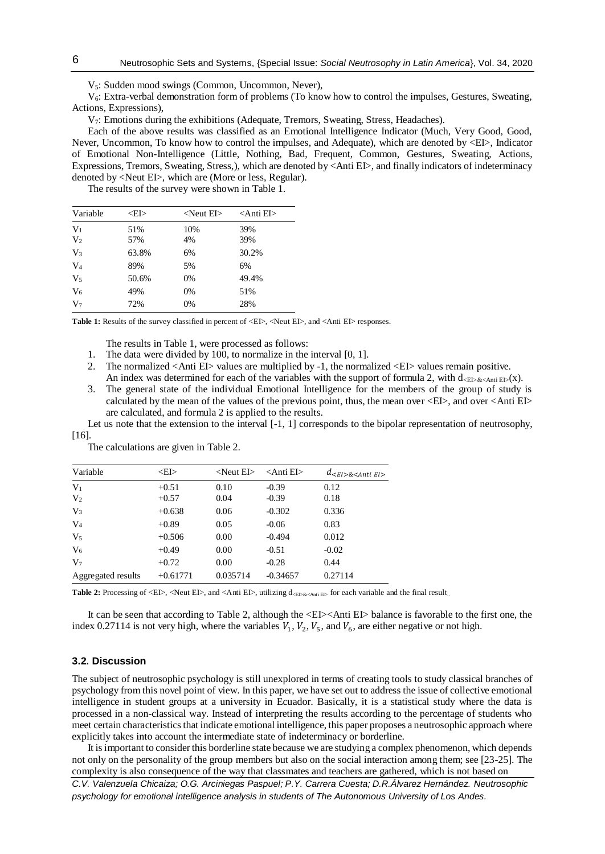V<sub>5</sub>: Sudden mood swings (Common, Uncommon, Never),

V6: Extra-verbal demonstration form of problems (To know how to control the impulses, Gestures, Sweating, Actions, Expressions),

V7: Emotions during the exhibitions (Adequate, Tremors, Sweating, Stress, Headaches).

Each of the above results was classified as an Emotional Intelligence Indicator (Much, Very Good, Good, Never, Uncommon, To know how to control the impulses, and Adequate), which are denoted by <EI>, Indicator of Emotional Non-Intelligence (Little, Nothing, Bad, Frequent, Common, Gestures, Sweating, Actions, Expressions, Tremors, Sweating, Stress,), which are denoted by <Anti EI>, and finally indicators of indeterminacy denoted by <Neut EI>, which are (More or less, Regular).

The results of the survey were shown in Table 1.

| Variable       | <ei></ei> | $\langle$ Neut EI $>$ | $\triangle$ Anti EI $>$ |  |
|----------------|-----------|-----------------------|-------------------------|--|
| V <sub>1</sub> | 51%       | 10%                   | 39%                     |  |
| V <sub>2</sub> | 57%       | 4%                    | 39%                     |  |
| $V_3$          | 63.8%     | 6%                    | 30.2%                   |  |
| $V_4$          | 89%       | 5%                    | 6%                      |  |
| $V_5$          | 50.6%     | 0%                    | 49.4%                   |  |
| $V_6$          | 49%       | 0%                    | 51%                     |  |
| V <sub>7</sub> | 72%       | 0%                    | 28%                     |  |

Table 1: Results of the survey classified in percent of <EI>, <Neut EI>, and <Anti EI> responses.

The results in Table 1, were processed as follows:

- 1. The data were divided by 100, to normalize in the interval [0, 1].
- 2. The normalized <Anti EI> values are multiplied by -1, the normalized <EI> values remain positive.
- An index was determined for each of the variables with the support of formula 2, with  $d_{\text{CE}>\< \text{Anti}}(x)$ .
- 3. The general state of the individual Emotional Intelligence for the members of the group of study is calculated by the mean of the values of the previous point, thus, the mean over  $\langle$ EI $>$ , and over  $\langle$ Anti EI $>$ are calculated, and formula 2 is applied to the results.

Let us note that the extension to the interval [-1, 1] corresponds to the bipolar representation of neutrosophy, [16].

The calculations are given in Table 2.

| Variable           | < EI>      | $\langle$ Neut EI $>$ | $\langle$ Anti EI $>$ | $d_{\le E I > \& \le Anti E I > \&$ |
|--------------------|------------|-----------------------|-----------------------|-------------------------------------|
| $V_1$              | $+0.51$    | 0.10                  | $-0.39$               | 0.12                                |
| V <sub>2</sub>     | $+0.57$    | 0.04                  | $-0.39$               | 0.18                                |
| $V_3$              | $+0.638$   | 0.06                  | $-0.302$              | 0.336                               |
| $V_4$              | $+0.89$    | 0.05                  | $-0.06$               | 0.83                                |
| V <sub>5</sub>     | $+0.506$   | 0.00                  | $-0.494$              | 0.012                               |
| $V_6$              | $+0.49$    | 0.00                  | $-0.51$               | $-0.02$                             |
| V <sub>7</sub>     | $+0.72$    | 0.00                  | $-0.28$               | 0.44                                |
| Aggregated results | $+0.61771$ | 0.035714              | $-0.34657$            | 0.27114                             |

**Table 2:** Processing of <EI>, <Neut EI>, and <Anti EI>, utilizing  $d_{\text{cED-}\&\text{Anti E1}}$  for each variable and the final result...

It can be seen that according to Table 2, although the <EI><Anti EI> balance is favorable to the first one, the index 0.27114 is not very high, where the variables  $V_1$ ,  $V_2$ ,  $V_5$ , and  $V_6$ , are either negative or not high.

## **3.2. Discussion**

The subject of neutrosophic psychology is still unexplored in terms of creating tools to study classical branches of psychology from this novel point of view. In this paper, we have set out to address the issue of collective emotional intelligence in student groups at a university in Ecuador. Basically, it is a statistical study where the data is processed in a non-classical way. Instead of interpreting the results according to the percentage of students who meet certain characteristics that indicate emotional intelligence, this paper proposes a neutrosophic approach where explicitly takes into account the intermediate state of indeterminacy or borderline.

It is important to consider this borderline state because we are studying a complex phenomenon, which depends not only on the personality of the group members but also on the social interaction among them; see [23-25]. The complexity is also consequence of the way that classmates and teachers are gathered, which is not based on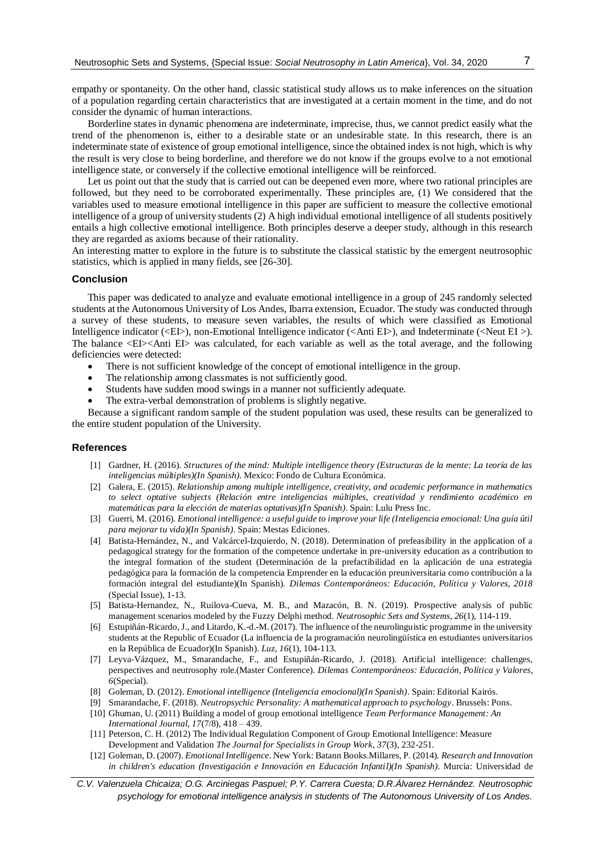empathy or spontaneity. On the other hand, classic statistical study allows us to make inferences on the situation of a population regarding certain characteristics that are investigated at a certain moment in the time, and do not consider the dynamic of human interactions.

Borderline states in dynamic phenomena are indeterminate, imprecise, thus, we cannot predict easily what the trend of the phenomenon is, either to a desirable state or an undesirable state. In this research, there is an indeterminate state of existence of group emotional intelligence, since the obtained index is not high, which is why the result is very close to being borderline, and therefore we do not know if the groups evolve to a not emotional intelligence state, or conversely if the collective emotional intelligence will be reinforced.

Let us point out that the study that is carried out can be deepened even more, where two rational principles are followed, but they need to be corroborated experimentally. These principles are, (1) We considered that the variables used to measure emotional intelligence in this paper are sufficient to measure the collective emotional intelligence of a group of university students (2) A high individual emotional intelligence of all students positively entails a high collective emotional intelligence. Both principles deserve a deeper study, although in this research they are regarded as axioms because of their rationality.

An interesting matter to explore in the future is to substitute the classical statistic by the emergent neutrosophic statistics, which is applied in many fields, see [26-30].

## **Conclusion**

This paper was dedicated to analyze and evaluate emotional intelligence in a group of 245 randomly selected students at the Autonomous University of Los Andes, Ibarra extension, Ecuador. The study was conducted through a survey of these students, to measure seven variables, the results of which were classified as Emotional Intelligence indicator (<EI>), non-Emotional Intelligence indicator (<Anti EI>), and Indeterminate (<Neut EI >). The balance <EI><Anti EI> was calculated, for each variable as well as the total average, and the following deficiencies were detected:

- There is not sufficient knowledge of the concept of emotional intelligence in the group.
- The relationship among classmates is not sufficiently good.
- Students have sudden mood swings in a manner not sufficiently adequate.
- The extra-verbal demonstration of problems is slightly negative.

Because a significant random sample of the student population was used, these results can be generalized to the entire student population of the University.

#### **References**

- [1] Gardner, H. (2016). *Structures of the mind: Multiple intelligence theory (Estructuras de la mente: La teoría de las inteligencias múltiples)(In Spanish)*. Mexico: Fondo de Cultura Económica.
- [2] Galera, E. (2015). *Relationship among multiple intelligence, creativity, and academic performance in mathematics to select optative subjects (Relación entre inteligencias múltiples, creatividad y rendimiento académico en matemáticas para la elección de materias optativas)(In Spanish)*. Spain: Lulu Press Inc.
- [3] Guerri, M. (2016). *Emotional intelligence: a useful guide to improve your life (Inteligencia emocional: Una guía útil para mejorar tu vida)(In Spanish)*. Spain: Mestas Ediciones.
- [4] Batista-Hernández, N., and Valcárcel-Izquierdo, N. (2018). Determination of prefeasibility in the application of a pedagogical strategy for the formation of the competence undertake in pre-university education as a contribution to the integral formation of the student (Determinación de la prefactibilidad en la aplicación de una estrategia pedagógica para la formación de la competencia Emprender en la educación preuniversitaria como contribución a la formación integral del estudiante)(In Spanish). *Dilemas Contemporáneos: Educación, Política y Valores, 2018*  (Special Issue), 1-13.
- [5] Batista-Hernandez, N., Ruilova-Cueva, M. B., and Mazacón, B. N. (2019). Prospective analysis of public management scenarios modeled by the Fuzzy Delphi method. *Neutrosophic Sets and Systems, 26*(1), 114-119.
- [6] Estupiñán-Ricardo, J., and Litardo, K.-d.-M. (2017). The influence of the neurolinguistic programme in the university students at the Republic of Ecuador (La influencia de la programación neurolingüística en estudiantes universitarios en la República de Ecuador)(In Spanish). *Luz, 16*(1), 104-113.
- [7] Leyva-Vázquez, M., Smarandache, F., and Estupiñán-Ricardo, J. (2018). Artificial intelligence: challenges, perspectives and neutrosophy role.(Master Conference). *Dilemas Contemporáneos: Educación, Política y Valores, 6*(Special).
- [8] Goleman, D. (2012). *Emotional intelligence (Inteligencia emocional)(In Spanish)*. Spain: Editorial Kairós.
- [9] Smarandache, F. (2018). *Neutropsychic Personality: A mathematical approach to psychology*. Brussels: Pons.
- [10] Ghuman, U. (2011) Building a model of group emotional intelligence *Team Performance Management: An International Journal, 17*(7/8), 418 – 439.
- [11] Peterson, C. H. (2012) The Individual Regulation Component of Group Emotional Intelligence: Measure Development and Validation *The Journal for Specialists in Group Work*, *37*(3), 232-251.
- [12] Goleman, D. (2007). *Emotional Intelligence*. New York: Batann Books.Millares, P. (2014). *Research and Innovation in children's education (Investigación e Innovación en Educación Infantil)(In Spanish)*. Murcia: Universidad de
- *C.V. Valenzuela Chicaiza; O.G. Arciniegas Paspuel; P.Y. Carrera Cuesta; D.R.Álvarez Hernández. Neutrosophic psychology for emotional intelligence analysis in students of The Autonomous University of Los Andes.*